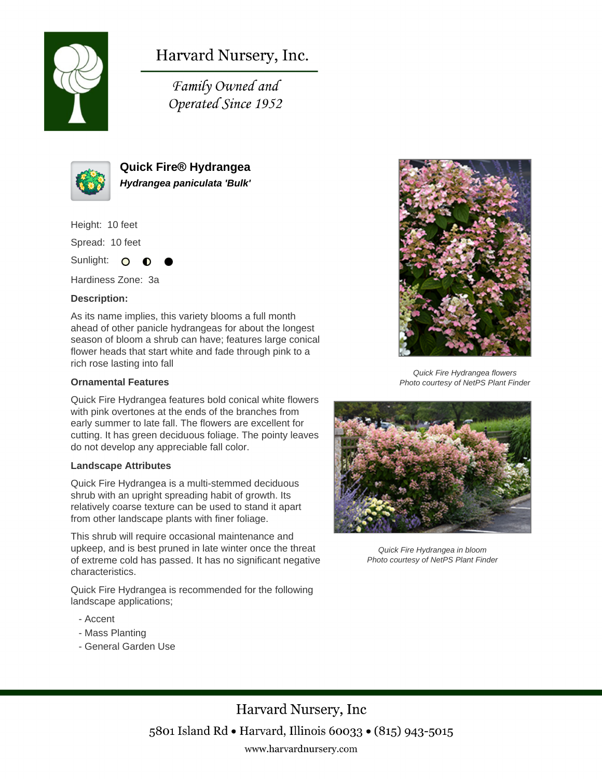

Harvard Nursery, Inc.

Family Owned and Operated Since 1952



**Quick Fire® Hydrangea Hydrangea paniculata 'Bulk'**

Height: 10 feet

Spread: 10 feet

Sunlight: O

Hardiness Zone: 3a

### **Description:**

As its name implies, this variety blooms a full month ahead of other panicle hydrangeas for about the longest season of bloom a shrub can have; features large conical flower heads that start white and fade through pink to a rich rose lasting into fall

#### **Ornamental Features**

Quick Fire Hydrangea features bold conical white flowers with pink overtones at the ends of the branches from early summer to late fall. The flowers are excellent for cutting. It has green deciduous foliage. The pointy leaves do not develop any appreciable fall color.

#### **Landscape Attributes**

Quick Fire Hydrangea is a multi-stemmed deciduous shrub with an upright spreading habit of growth. Its relatively coarse texture can be used to stand it apart from other landscape plants with finer foliage.

This shrub will require occasional maintenance and upkeep, and is best pruned in late winter once the threat of extreme cold has passed. It has no significant negative characteristics.

Quick Fire Hydrangea is recommended for the following landscape applications;

- Accent
- Mass Planting
- General Garden Use



Quick Fire Hydrangea flowers Photo courtesy of NetPS Plant Finder



Quick Fire Hydrangea in bloom Photo courtesy of NetPS Plant Finder

Harvard Nursery, Inc 5801 Island Rd • Harvard, Illinois 60033 • (815) 943-5015 www.harvardnursery.com